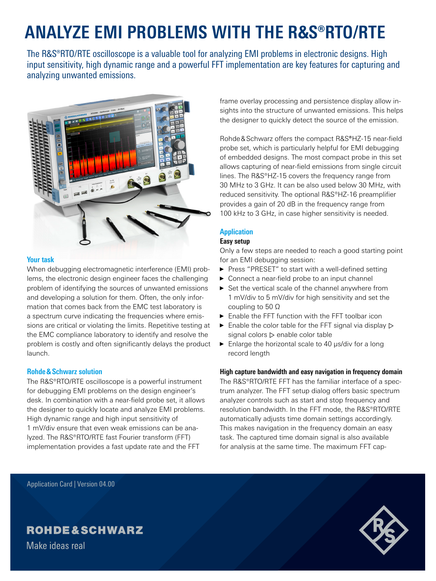# **ANALYZE EMI PROBLEMS WITH THE R&S®RTO/RTE**

The R&S®RTO/RTE oscilloscope is a valuable tool for analyzing EMI problems in electronic designs. High input sensitivity, high dynamic range and a powerful FFT implementation are key features for capturing and analyzing unwanted emissions.



### **Your task**

When debugging electromagnetic interference (EMI) problems, the electronic design engineer faces the challenging problem of identifying the sources of unwanted emissions and developing a solution for them. Often, the only information that comes back from the EMC test laboratory is a spectrum curve indicating the frequencies where emissions are critical or violating the limits. Repetitive testing at the EMC compliance laboratory to identify and resolve the problem is costly and often significantly delays the product launch.

### **Rohde&Schwarz solution**

The R&S®RTO/RTE oscilloscope is a powerful instrument for debugging EMI problems on the design engineer's desk. In combination with a near-field probe set, it allows the designer to quickly locate and analyze EMI problems. High dynamic range and high input sensitivity of 1 mV/div ensure that even weak emissions can be analyzed. The R&S®RTO/RTE fast Fourier transform (FFT) implementation provides a fast update rate and the FFT

frame overlay processing and persistence display allow insights into the structure of unwanted emissions. This helps the designer to quickly detect the source of the emission.

Rohde&Schwarz offers the compact R&S**®**HZ-15 near-field probe set, which is particularly helpful for EMI debugging of embedded designs. The most compact probe in this set allows capturing of near-field emissions from single circuit lines. The R&S®HZ-15 covers the frequency range from 30 MHz to 3 GHz. It can be also used below 30 MHz, with reduced sensitivity. The optional R&S®HZ-16 preamplifier provides a gain of 20 dB in the frequency range from 100 kHz to 3 GHz, in case higher sensitivity is needed.

### **Application**

### **Easy setup**

Only a few steps are needed to reach a good starting point for an EMI debugging session:

- ► Press "PRESET" to start with a well-defined setting
- ► Connect a near-field probe to an input channel
- ► Set the vertical scale of the channel anywhere from 1 mV/div to 5 mV/div for high sensitivity and set the coupling to 50 Ω
- ► Enable the FFT function with the FFT toolbar icon
- $\triangleright$  Enable the color table for the FFT signal via display  $\triangleright$ signal colors ⊳ enable color table
- ► Enlarge the horizontal scale to 40 µs/div for a long record length

### **High capture bandwidth and easy navigation in frequency domain**

The R&S®RTO/RTE FFT has the familiar interface of a spectrum analyzer. The FFT setup dialog offers basic spectrum analyzer controls such as start and stop frequency and resolution bandwidth. In the FFT mode, the R&S®RTO/RTE automatically adjusts time domain settings accordingly. This makes navigation in the frequency domain an easy task. The captured time domain signal is also available for analysis at the same time. The maximum FFT cap-

Application Card | Version 04.00

## **ROHDE&SCHWARZ**

Make ideas real